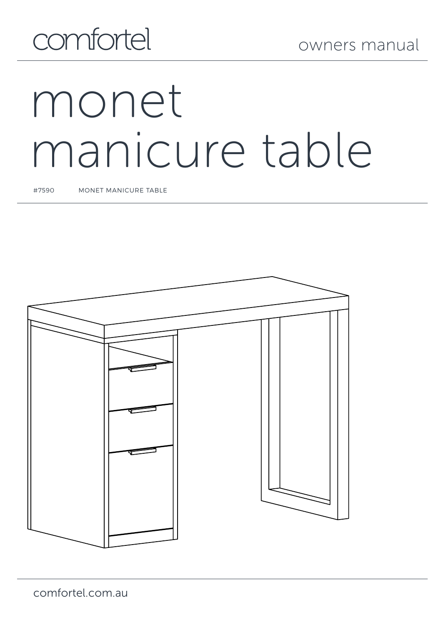## comfortel

# monet manicure table

#7590 MONET MANICURE TABLE

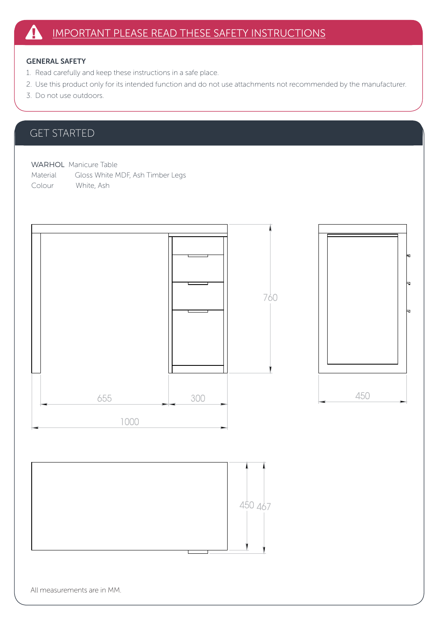#### GENERAL SAFETY

- 1. Read carefully and keep these instructions in a safe place.
- 2. Use this product only for its intended function and do not use attachments not recommended by the manufacturer.
- 3. Do not use outdoors.

## GET STARTED

WARHOL Manicure Table Material Gloss White MDF, Ash Timber Legs Colour White, Ash







All measurements are in MM.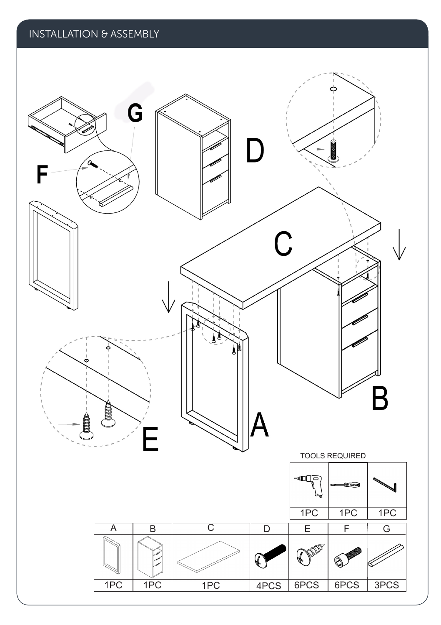

## INSTALLATION & ASSEMBLY